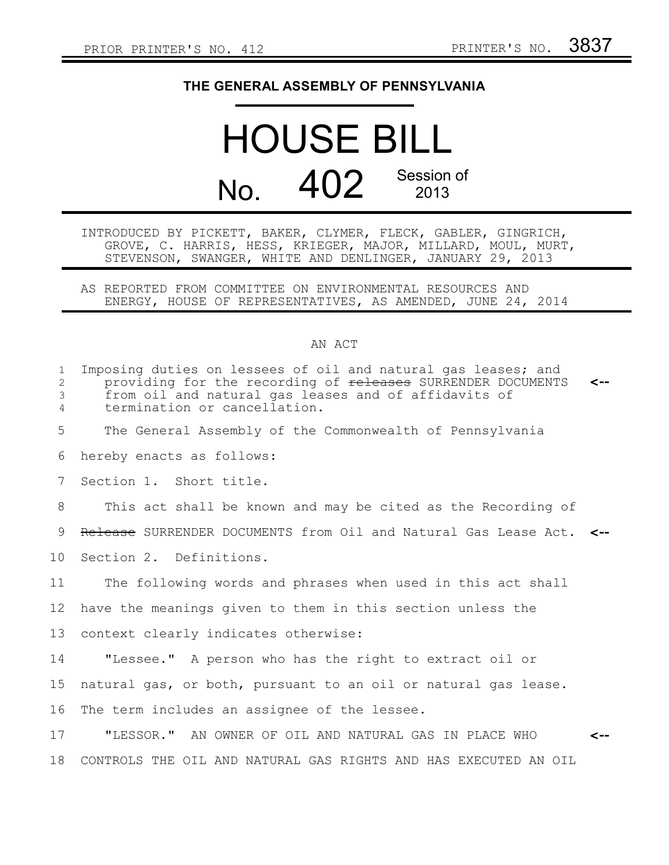## **THE GENERAL ASSEMBLY OF PENNSYLVANIA**

## HOUSE BILL No.  $402$  Session of

INTRODUCED BY PICKETT, BAKER, CLYMER, FLECK, GABLER, GINGRICH, GROVE, C. HARRIS, HESS, KRIEGER, MAJOR, MILLARD, MOUL, MURT, STEVENSON, SWANGER, WHITE AND DENLINGER, JANUARY 29, 2013

AS REPORTED FROM COMMITTEE ON ENVIRONMENTAL RESOURCES AND ENERGY, HOUSE OF REPRESENTATIVES, AS AMENDED, JUNE 24, 2014

## AN ACT

| $\mathbf{1}$<br>$\mathbf{2}$<br>3<br>4 | Imposing duties on lessees of oil and natural gas leases; and<br>providing for the recording of releases SURRENDER DOCUMENTS<br>from oil and natural gas leases and of affidavits of<br>termination or cancellation. | <-- |
|----------------------------------------|----------------------------------------------------------------------------------------------------------------------------------------------------------------------------------------------------------------------|-----|
| 5                                      | The General Assembly of the Commonwealth of Pennsylvania                                                                                                                                                             |     |
| 6                                      | hereby enacts as follows:                                                                                                                                                                                            |     |
| 7                                      | Section 1. Short title.                                                                                                                                                                                              |     |
| 8                                      | This act shall be known and may be cited as the Recording of                                                                                                                                                         |     |
| 9                                      | Release SURRENDER DOCUMENTS from Oil and Natural Gas Lease Act. <--                                                                                                                                                  |     |
| 10                                     | Section 2. Definitions.                                                                                                                                                                                              |     |
| 11                                     | The following words and phrases when used in this act shall                                                                                                                                                          |     |
| 12                                     | have the meanings given to them in this section unless the                                                                                                                                                           |     |
| 13                                     | context clearly indicates otherwise:                                                                                                                                                                                 |     |
| 14                                     | "Lessee." A person who has the right to extract oil or                                                                                                                                                               |     |
| 15                                     | natural gas, or both, pursuant to an oil or natural gas lease.                                                                                                                                                       |     |
| 16                                     | The term includes an assignee of the lessee.                                                                                                                                                                         |     |
| 17                                     | "LESSOR." AN OWNER OF OIL AND NATURAL GAS IN PLACE WHO                                                                                                                                                               | <-- |
| 18                                     | CONTROLS THE OIL AND NATURAL GAS RIGHTS AND HAS EXECUTED AN OIL                                                                                                                                                      |     |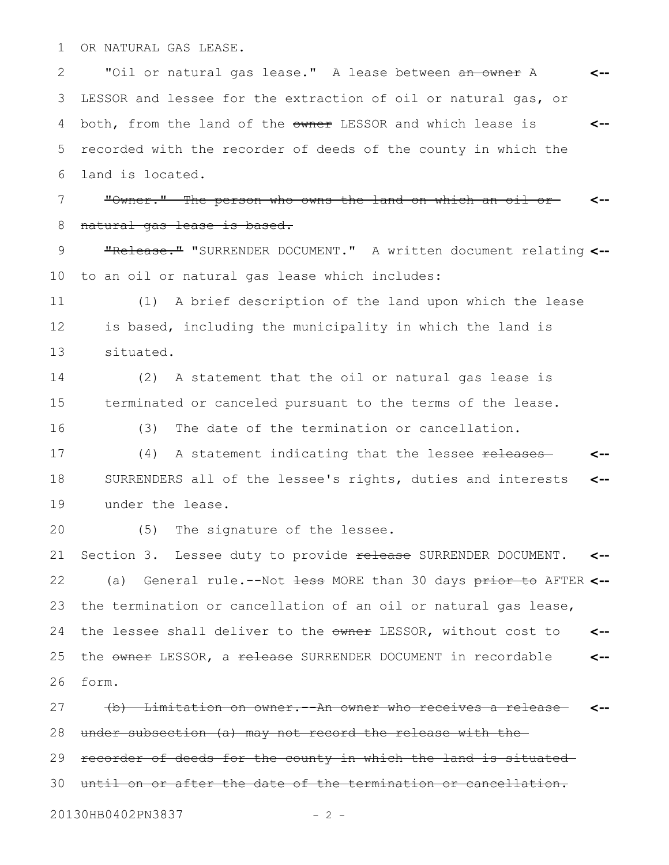OR NATURAL GAS LEASE. 1

"Oil or natural gas lease." A lease between an owner A LESSOR and lessee for the extraction of oil or natural gas, or both, from the land of the owner LESSOR and which lease is recorded with the recorder of deeds of the county in which the land is located. **<-- <--** 2 3 4 5 6

"Owner." The person who owns the land on which an oil or natural gas lease is based. **<--** 7 8

"Release." "SURRENDER DOCUMENT." A written document relating **<-** to an oil or natural gas lease which includes: 9 10

(1) A brief description of the land upon which the lease is based, including the municipality in which the land is situated. 11 12 13

(2) A statement that the oil or natural gas lease is terminated or canceled pursuant to the terms of the lease. 14 15

16

(3) The date of the termination or cancellation.

(4) A statement indicating that the lessee releases SURRENDERS all of the lessee's rights, duties and interests under the lease. **<-- <--** 17 18 19

20

(5) The signature of the lessee.

Section 3. Lessee duty to provide release SURRENDER DOCUMENT. (a) General rule.--Not less MORE than 30 days prior to AFTER **<-** the termination or cancellation of an oil or natural gas lease, the lessee shall deliver to the owner LESSOR, without cost to the owner LESSOR, a release SURRENDER DOCUMENT in recordable form. **<-- <-- <--** 21 22 23 24 25 26

(b) Limitation on owner.--An owner who receives a release under subsection (a) may not record the release with the recorder of deeds for the county in which the land is situated until on or after the date of the termination or cancellation. **<--** 27 28 29 30

20130HB0402PN3837 - 2 -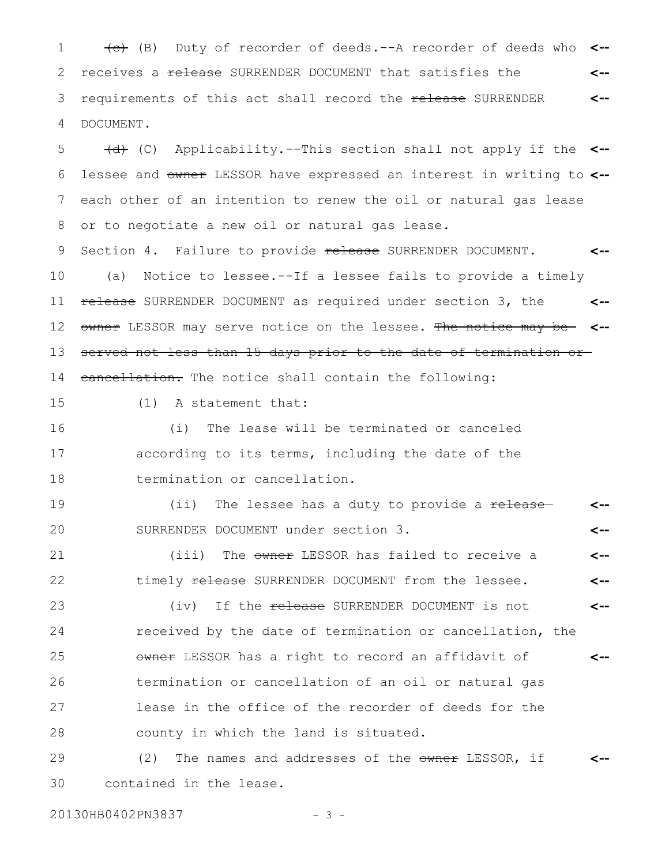1 (e) Duty of recorder of deeds.--A recorder of deeds who receives a release SURRENDER DOCUMENT that satisfies the requirements of this act shall record the release SURRENDER DOCUMENT. **<-- <--** 2 3 4

(d) (C) Applicability.--This section shall not apply if the **<-** lessee and owner LESSOR have expressed an interest in writing to **<-** each other of an intention to renew the oil or natural gas lease or to negotiate a new oil or natural gas lease. 5 6 7 8

Section 4. Failure to provide release SURRENDER DOCUMENT. (a) Notice to lessee.--If a lessee fails to provide a timely release SURRENDER DOCUMENT as required under section 3, the owner LESSOR may serve notice on the lessee. The notice may be **<-** served not less than 15 days prior to the date of termination or cancellation. The notice shall contain the following: **<-- <--** 9 10 11 12 13 14

15

(1) A statement that:

(i) The lease will be terminated or canceled according to its terms, including the date of the termination or cancellation. 16 17 18

(ii) The lessee has a duty to provide a release SURRENDER DOCUMENT under section 3. **<-- <--** 19 20

(iii) The owner LESSOR has failed to receive a timely release SURRENDER DOCUMENT from the lessee. **<-- <--** 21 22

(iv) If the release SURRENDER DOCUMENT is not received by the date of termination or cancellation, the owner LESSOR has a right to record an affidavit of termination or cancellation of an oil or natural gas lease in the office of the recorder of deeds for the county in which the land is situated. **<-- <--** 23 24 25 26 27 28

(2) The names and addresses of the owner LESSOR, if contained in the lease. **<--** 29 30

20130HB0402PN3837 - 3 -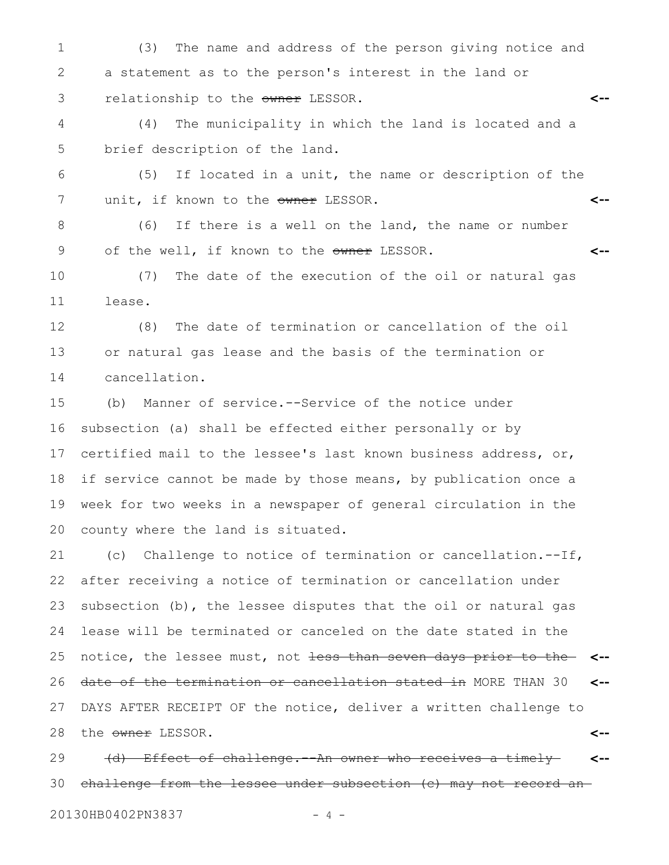(3) The name and address of the person giving notice and a statement as to the person's interest in the land or relationship to the owner LESSOR. **<--** 1 2 3

(4) The municipality in which the land is located and a brief description of the land. 4 5

(5) If located in a unit, the name or description of the unit, if known to the owner LESSOR. **<--** 6 7

(6) If there is a well on the land, the name or number of the well, if known to the owner LESSOR. **<--** 8 9

(7) The date of the execution of the oil or natural gas lease. 10 11

(8) The date of termination or cancellation of the oil or natural gas lease and the basis of the termination or cancellation. 12 13 14

(b) Manner of service.--Service of the notice under subsection (a) shall be effected either personally or by certified mail to the lessee's last known business address, or, if service cannot be made by those means, by publication once a week for two weeks in a newspaper of general circulation in the county where the land is situated. 15 16 17 18 19 20

(c) Challenge to notice of termination or cancellation.--If, after receiving a notice of termination or cancellation under subsection (b), the lessee disputes that the oil or natural gas lease will be terminated or canceled on the date stated in the notice, the lessee must, not less than seven days prior to the **<-** date of the termination or cancellation stated in MORE THAN 30 DAYS AFTER RECEIPT OF the notice, deliver a written challenge to the owner LESSOR. **<-- <--** 21 22 23 24 25 26 27 28

(d) Effect of challenge.--An owner who receives a timely challenge from the lessee under subsection (c) may not record an **<--** 29 30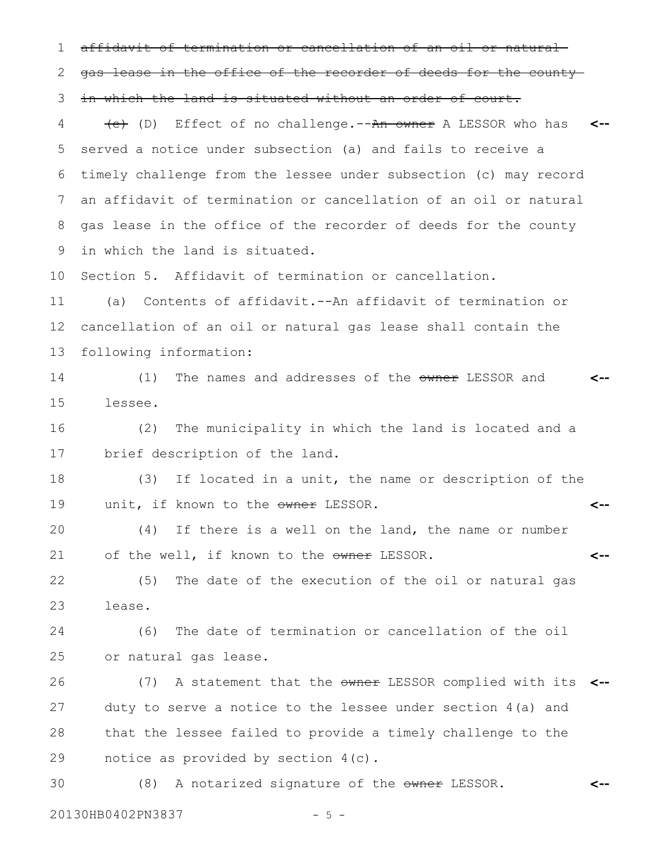affidavit of termination or cancellation of an oil or natural gas lease in the office of the recorder of deeds for the county in which the land is situated without an order of court. (e) (D) Effect of no challenge.--An owner A LESSOR who has **<-** served a notice under subsection (a) and fails to receive a timely challenge from the lessee under subsection (c) may record an affidavit of termination or cancellation of an oil or natural gas lease in the office of the recorder of deeds for the county in which the land is situated. Section 5. Affidavit of termination or cancellation. (a) Contents of affidavit.--An affidavit of termination or cancellation of an oil or natural gas lease shall contain the following information: (1) The names and addresses of the owner LESSOR and lessee. (2) The municipality in which the land is located and a brief description of the land. (3) If located in a unit, the name or description of the unit, if known to the owner LESSOR. (4) If there is a well on the land, the name or number of the well, if known to the owner LESSOR. (5) The date of the execution of the oil or natural gas lease. (6) The date of termination or cancellation of the oil or natural gas lease. (7) A statement that the owner LESSOR complied with its **<-** duty to serve a notice to the lessee under section 4(a) and that the lessee failed to provide a timely challenge to the notice as provided by section 4(c). (8) A notarized signature of the owner LESSOR. **<-- <-- <-- <--** 1 2 3 4 5 6 7 8 9 10 11 12 13 14 15 16 17 18 19 20 21 22 23 24 25 26 27 28 29 30

20130HB0402PN3837 - 5 -